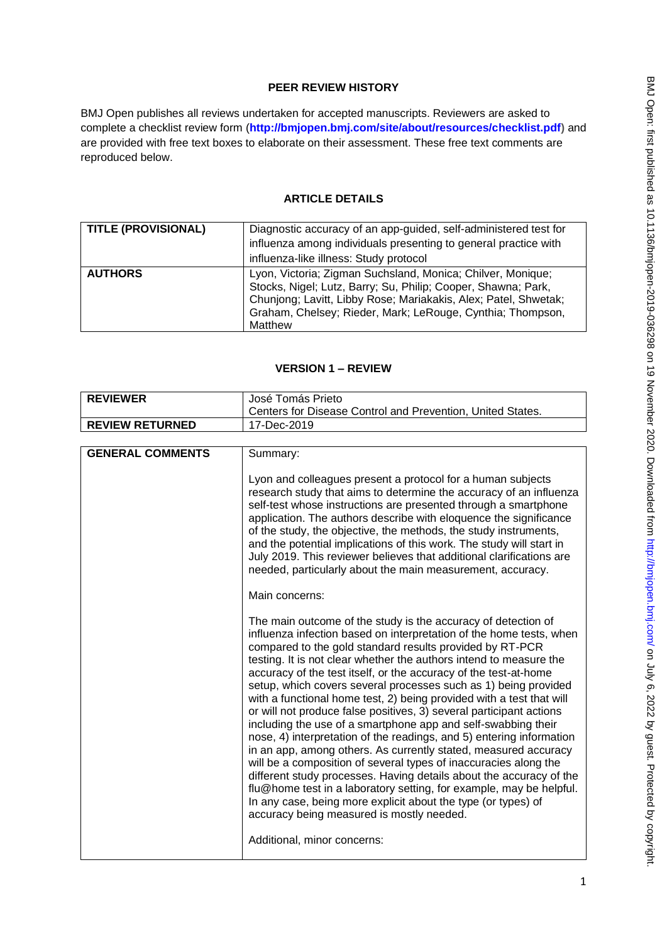# **PEER REVIEW HISTORY**

BMJ Open publishes all reviews undertaken for accepted manuscripts. Reviewers are asked to complete a checklist review form (**[http://bmjopen.bmj.com/site/about/resources/checklist.pdf\)](http://bmjopen.bmj.com/site/about/resources/checklist.pdf)** and are provided with free text boxes to elaborate on their assessment. These free text comments are reproduced below.

# **ARTICLE DETAILS**

| <b>TITLE (PROVISIONAL)</b> | Diagnostic accuracy of an app-guided, self-administered test for<br>influenza among individuals presenting to general practice with<br>influenza-like illness: Study protocol                                                                                            |
|----------------------------|--------------------------------------------------------------------------------------------------------------------------------------------------------------------------------------------------------------------------------------------------------------------------|
| <b>AUTHORS</b>             | Lyon, Victoria; Zigman Suchsland, Monica; Chilver, Monique;<br>Stocks, Nigel; Lutz, Barry; Su, Philip; Cooper, Shawna; Park,<br>Chunjong; Lavitt, Libby Rose; Mariakakis, Alex; Patel, Shwetak;<br>Graham, Chelsey; Rieder, Mark; LeRouge, Cynthia; Thompson,<br>Matthew |

# **VERSION 1 – REVIEW**

| <b>REVIEWER</b>         | José Tomás Prieto                                                                                                                                                                                                                                                                                                                                                                                                                                                                                                                                                                                                                                                                                                                                                                                                                                                                                                                                                                                                                                                                                        |
|-------------------------|----------------------------------------------------------------------------------------------------------------------------------------------------------------------------------------------------------------------------------------------------------------------------------------------------------------------------------------------------------------------------------------------------------------------------------------------------------------------------------------------------------------------------------------------------------------------------------------------------------------------------------------------------------------------------------------------------------------------------------------------------------------------------------------------------------------------------------------------------------------------------------------------------------------------------------------------------------------------------------------------------------------------------------------------------------------------------------------------------------|
|                         | Centers for Disease Control and Prevention, United States.                                                                                                                                                                                                                                                                                                                                                                                                                                                                                                                                                                                                                                                                                                                                                                                                                                                                                                                                                                                                                                               |
| <b>REVIEW RETURNED</b>  | 17-Dec-2019                                                                                                                                                                                                                                                                                                                                                                                                                                                                                                                                                                                                                                                                                                                                                                                                                                                                                                                                                                                                                                                                                              |
|                         |                                                                                                                                                                                                                                                                                                                                                                                                                                                                                                                                                                                                                                                                                                                                                                                                                                                                                                                                                                                                                                                                                                          |
| <b>GENERAL COMMENTS</b> | Summary:                                                                                                                                                                                                                                                                                                                                                                                                                                                                                                                                                                                                                                                                                                                                                                                                                                                                                                                                                                                                                                                                                                 |
|                         | Lyon and colleagues present a protocol for a human subjects<br>research study that aims to determine the accuracy of an influenza<br>self-test whose instructions are presented through a smartphone<br>application. The authors describe with eloquence the significance<br>of the study, the objective, the methods, the study instruments,<br>and the potential implications of this work. The study will start in<br>July 2019. This reviewer believes that additional clarifications are<br>needed, particularly about the main measurement, accuracy.                                                                                                                                                                                                                                                                                                                                                                                                                                                                                                                                              |
|                         | Main concerns:                                                                                                                                                                                                                                                                                                                                                                                                                                                                                                                                                                                                                                                                                                                                                                                                                                                                                                                                                                                                                                                                                           |
|                         | The main outcome of the study is the accuracy of detection of<br>influenza infection based on interpretation of the home tests, when<br>compared to the gold standard results provided by RT-PCR<br>testing. It is not clear whether the authors intend to measure the<br>accuracy of the test itself, or the accuracy of the test-at-home<br>setup, which covers several processes such as 1) being provided<br>with a functional home test, 2) being provided with a test that will<br>or will not produce false positives, 3) several participant actions<br>including the use of a smartphone app and self-swabbing their<br>nose, 4) interpretation of the readings, and 5) entering information<br>in an app, among others. As currently stated, measured accuracy<br>will be a composition of several types of inaccuracies along the<br>different study processes. Having details about the accuracy of the<br>flu@home test in a laboratory setting, for example, may be helpful.<br>In any case, being more explicit about the type (or types) of<br>accuracy being measured is mostly needed. |
|                         | Additional, minor concerns:                                                                                                                                                                                                                                                                                                                                                                                                                                                                                                                                                                                                                                                                                                                                                                                                                                                                                                                                                                                                                                                                              |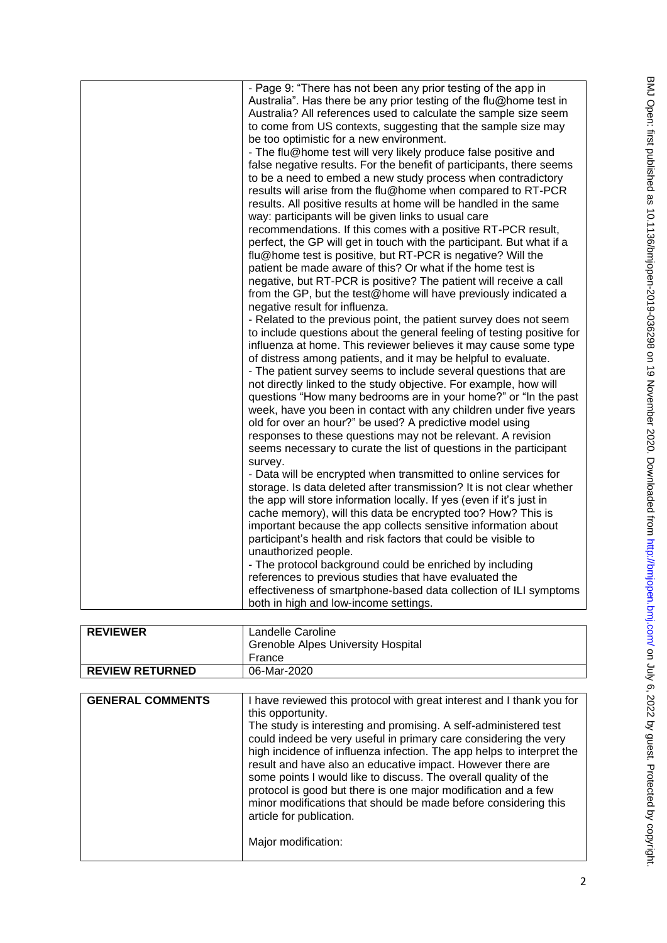| - Page 9: "There has not been any prior testing of the app in<br>Australia". Has there be any prior testing of the flu@home test in<br>Australia? All references used to calculate the sample size seem<br>to come from US contexts, suggesting that the sample size may<br>be too optimistic for a new environment.                                                                                                                                                                                                                                                                                                                                                                                                                                                 |
|----------------------------------------------------------------------------------------------------------------------------------------------------------------------------------------------------------------------------------------------------------------------------------------------------------------------------------------------------------------------------------------------------------------------------------------------------------------------------------------------------------------------------------------------------------------------------------------------------------------------------------------------------------------------------------------------------------------------------------------------------------------------|
| - The flu@home test will very likely produce false positive and<br>false negative results. For the benefit of participants, there seems<br>to be a need to embed a new study process when contradictory<br>results will arise from the flu@home when compared to RT-PCR<br>results. All positive results at home will be handled in the same<br>way: participants will be given links to usual care                                                                                                                                                                                                                                                                                                                                                                  |
| recommendations. If this comes with a positive RT-PCR result,<br>perfect, the GP will get in touch with the participant. But what if a<br>flu@home test is positive, but RT-PCR is negative? Will the<br>patient be made aware of this? Or what if the home test is                                                                                                                                                                                                                                                                                                                                                                                                                                                                                                  |
| negative, but RT-PCR is positive? The patient will receive a call<br>from the GP, but the test@home will have previously indicated a<br>negative result for influenza.                                                                                                                                                                                                                                                                                                                                                                                                                                                                                                                                                                                               |
| - Related to the previous point, the patient survey does not seem<br>to include questions about the general feeling of testing positive for<br>influenza at home. This reviewer believes it may cause some type<br>of distress among patients, and it may be helpful to evaluate.<br>- The patient survey seems to include several questions that are<br>not directly linked to the study objective. For example, how will<br>questions "How many bedrooms are in your home?" or "In the past<br>week, have you been in contact with any children under five years<br>old for over an hour?" be used? A predictive model using<br>responses to these questions may not be relevant. A revision<br>seems necessary to curate the list of questions in the participant |
| survey.<br>- Data will be encrypted when transmitted to online services for<br>storage. Is data deleted after transmission? It is not clear whether<br>the app will store information locally. If yes (even if it's just in<br>cache memory), will this data be encrypted too? How? This is<br>important because the app collects sensitive information about<br>participant's health and risk factors that could be visible to<br>unauthorized people.                                                                                                                                                                                                                                                                                                              |
| - The protocol background could be enriched by including<br>references to previous studies that have evaluated the<br>effectiveness of smartphone-based data collection of ILI symptoms<br>both in high and low-income settings.                                                                                                                                                                                                                                                                                                                                                                                                                                                                                                                                     |

| <b>REVIEWER</b>        | Landelle Caroline<br><b>Grenoble Alpes University Hospital</b><br>France |
|------------------------|--------------------------------------------------------------------------|
|                        |                                                                          |
| <b>REVIEW RETURNED</b> | 06-Mar-2020                                                              |

| <b>GENERAL COMMENTS</b><br>I have reviewed this protocol with great interest and I thank you for<br>this opportunity.<br>The study is interesting and promising. A self-administered test<br>could indeed be very useful in primary care considering the very<br>high incidence of influenza infection. The app helps to interpret the<br>result and have also an educative impact. However there are<br>some points I would like to discuss. The overall quality of the<br>protocol is good but there is one major modification and a few<br>minor modifications that should be made before considering this<br>article for publication.<br>Major modification: |
|------------------------------------------------------------------------------------------------------------------------------------------------------------------------------------------------------------------------------------------------------------------------------------------------------------------------------------------------------------------------------------------------------------------------------------------------------------------------------------------------------------------------------------------------------------------------------------------------------------------------------------------------------------------|
|                                                                                                                                                                                                                                                                                                                                                                                                                                                                                                                                                                                                                                                                  |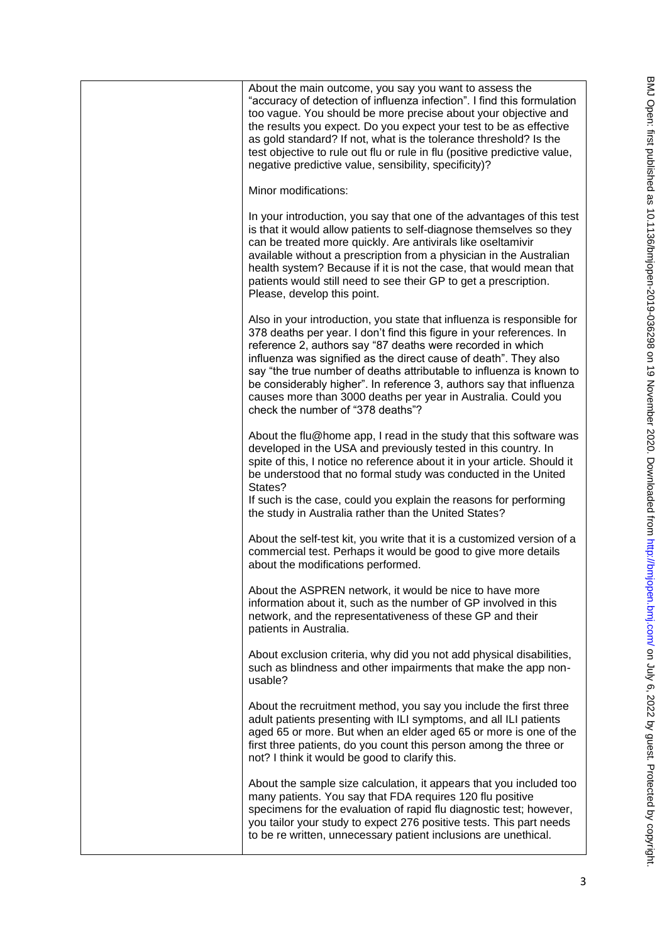| About the main outcome, you say you want to assess the<br>"accuracy of detection of influenza infection". I find this formulation<br>too vague. You should be more precise about your objective and<br>the results you expect. Do you expect your test to be as effective<br>as gold standard? If not, what is the tolerance threshold? Is the<br>test objective to rule out flu or rule in flu (positive predictive value,<br>negative predictive value, sensibility, specificity)?                                                  |
|---------------------------------------------------------------------------------------------------------------------------------------------------------------------------------------------------------------------------------------------------------------------------------------------------------------------------------------------------------------------------------------------------------------------------------------------------------------------------------------------------------------------------------------|
| Minor modifications:                                                                                                                                                                                                                                                                                                                                                                                                                                                                                                                  |
| In your introduction, you say that one of the advantages of this test<br>is that it would allow patients to self-diagnose themselves so they<br>can be treated more quickly. Are antivirals like oseltamivir<br>available without a prescription from a physician in the Australian<br>health system? Because if it is not the case, that would mean that<br>patients would still need to see their GP to get a prescription.<br>Please, develop this point.                                                                          |
| Also in your introduction, you state that influenza is responsible for<br>378 deaths per year. I don't find this figure in your references. In<br>reference 2, authors say "87 deaths were recorded in which<br>influenza was signified as the direct cause of death". They also<br>say "the true number of deaths attributable to influenza is known to<br>be considerably higher". In reference 3, authors say that influenza<br>causes more than 3000 deaths per year in Australia. Could you<br>check the number of "378 deaths"? |
| About the flu@home app, I read in the study that this software was<br>developed in the USA and previously tested in this country. In<br>spite of this, I notice no reference about it in your article. Should it<br>be understood that no formal study was conducted in the United<br>States?<br>If such is the case, could you explain the reasons for performing<br>the study in Australia rather than the United States?                                                                                                           |
| About the self-test kit, you write that it is a customized version of a<br>commercial test. Perhaps it would be good to give more details<br>about the modifications performed.                                                                                                                                                                                                                                                                                                                                                       |
| About the ASPREN network, it would be nice to have more<br>information about it, such as the number of GP involved in this<br>network, and the representativeness of these GP and their<br>patients in Australia.                                                                                                                                                                                                                                                                                                                     |
| About exclusion criteria, why did you not add physical disabilities,<br>such as blindness and other impairments that make the app non-<br>usable?                                                                                                                                                                                                                                                                                                                                                                                     |
| About the recruitment method, you say you include the first three<br>adult patients presenting with ILI symptoms, and all ILI patients<br>aged 65 or more. But when an elder aged 65 or more is one of the<br>first three patients, do you count this person among the three or<br>not? I think it would be good to clarify this.                                                                                                                                                                                                     |
| About the sample size calculation, it appears that you included too<br>many patients. You say that FDA requires 120 flu positive<br>specimens for the evaluation of rapid flu diagnostic test; however,<br>you tailor your study to expect 276 positive tests. This part needs<br>to be re written, unnecessary patient inclusions are unethical.                                                                                                                                                                                     |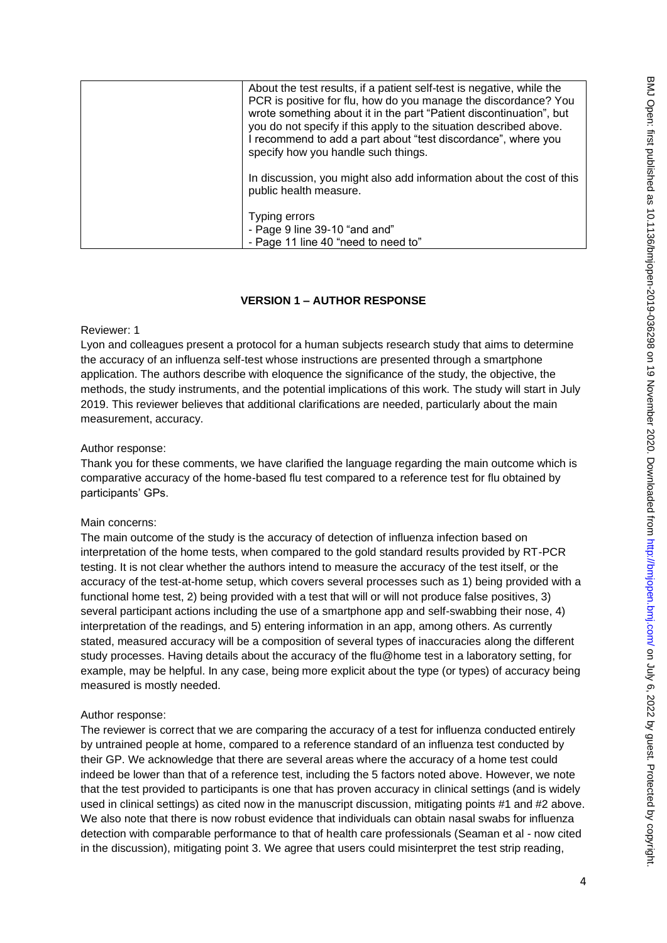| About the test results, if a patient self-test is negative, while the<br>PCR is positive for flu, how do you manage the discordance? You<br>wrote something about it in the part "Patient discontinuation", but<br>you do not specify if this apply to the situation described above.<br>I recommend to add a part about "test discordance", where you<br>specify how you handle such things. |
|-----------------------------------------------------------------------------------------------------------------------------------------------------------------------------------------------------------------------------------------------------------------------------------------------------------------------------------------------------------------------------------------------|
| In discussion, you might also add information about the cost of this<br>public health measure.                                                                                                                                                                                                                                                                                                |
| Typing errors<br>- Page 9 line 39-10 "and and"<br>- Page 11 line 40 "need to need to"                                                                                                                                                                                                                                                                                                         |

# **VERSION 1 – AUTHOR RESPONSE**

## Reviewer: 1

Lyon and colleagues present a protocol for a human subjects research study that aims to determine the accuracy of an influenza self-test whose instructions are presented through a smartphone application. The authors describe with eloquence the significance of the study, the objective, the methods, the study instruments, and the potential implications of this work. The study will start in July 2019. This reviewer believes that additional clarifications are needed, particularly about the main measurement, accuracy.

# Author response:

Thank you for these comments, we have clarified the language regarding the main outcome which is comparative accuracy of the home-based flu test compared to a reference test for flu obtained by participants' GPs.

# Main concerns:

The main outcome of the study is the accuracy of detection of influenza infection based on interpretation of the home tests, when compared to the gold standard results provided by RT-PCR testing. It is not clear whether the authors intend to measure the accuracy of the test itself, or the accuracy of the test-at-home setup, which covers several processes such as 1) being provided with a functional home test, 2) being provided with a test that will or will not produce false positives, 3) several participant actions including the use of a smartphone app and self-swabbing their nose, 4) interpretation of the readings, and 5) entering information in an app, among others. As currently stated, measured accuracy will be a composition of several types of inaccuracies along the different study processes. Having details about the accuracy of the flu@home test in a laboratory setting, for example, may be helpful. In any case, being more explicit about the type (or types) of accuracy being measured is mostly needed.

# Author response:

The reviewer is correct that we are comparing the accuracy of a test for influenza conducted entirely by untrained people at home, compared to a reference standard of an influenza test conducted by their GP. We acknowledge that there are several areas where the accuracy of a home test could indeed be lower than that of a reference test, including the 5 factors noted above. However, we note that the test provided to participants is one that has proven accuracy in clinical settings (and is widely used in clinical settings) as cited now in the manuscript discussion, mitigating points #1 and #2 above. We also note that there is now robust evidence that individuals can obtain nasal swabs for influenza detection with comparable performance to that of health care professionals (Seaman et al - now cited in the discussion), mitigating point 3. We agree that users could misinterpret the test strip reading,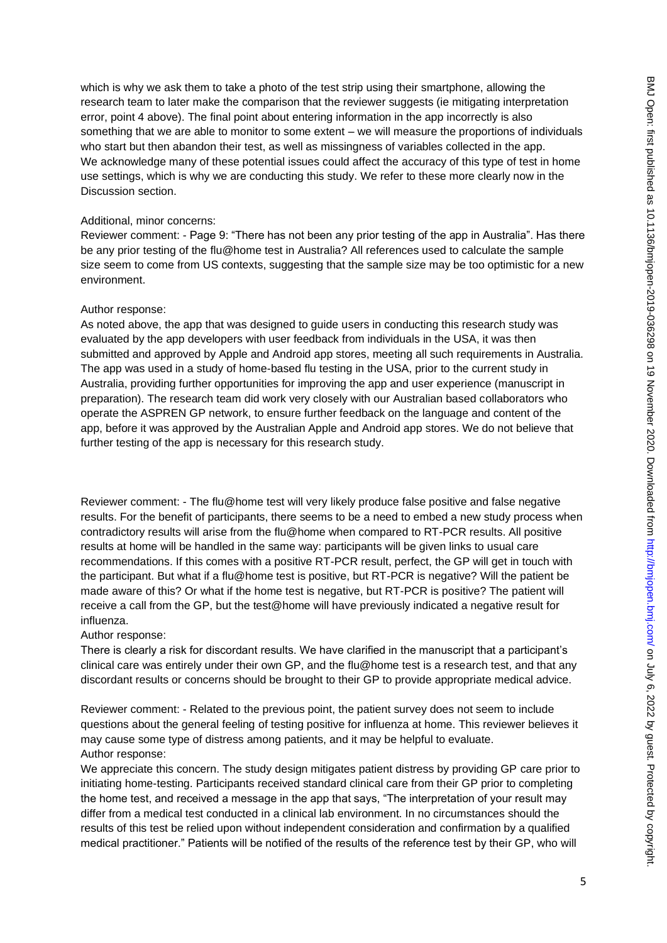which is why we ask them to take a photo of the test strip using their smartphone, allowing the research team to later make the comparison that the reviewer suggests (ie mitigating interpretation error, point 4 above). The final point about entering information in the app incorrectly is also something that we are able to monitor to some extent – we will measure the proportions of individuals who start but then abandon their test, as well as missingness of variables collected in the app. We acknowledge many of these potential issues could affect the accuracy of this type of test in home use settings, which is why we are conducting this study. We refer to these more clearly now in the Discussion section.

## Additional, minor concerns:

Reviewer comment: - Page 9: "There has not been any prior testing of the app in Australia". Has there be any prior testing of the flu@home test in Australia? All references used to calculate the sample size seem to come from US contexts, suggesting that the sample size may be too optimistic for a new environment.

### Author response:

As noted above, the app that was designed to guide users in conducting this research study was evaluated by the app developers with user feedback from individuals in the USA, it was then submitted and approved by Apple and Android app stores, meeting all such requirements in Australia. The app was used in a study of home-based flu testing in the USA, prior to the current study in Australia, providing further opportunities for improving the app and user experience (manuscript in preparation). The research team did work very closely with our Australian based collaborators who operate the ASPREN GP network, to ensure further feedback on the language and content of the app, before it was approved by the Australian Apple and Android app stores. We do not believe that further testing of the app is necessary for this research study.

Reviewer comment: - The flu@home test will very likely produce false positive and false negative results. For the benefit of participants, there seems to be a need to embed a new study process when contradictory results will arise from the flu@home when compared to RT-PCR results. All positive results at home will be handled in the same way: participants will be given links to usual care recommendations. If this comes with a positive RT-PCR result, perfect, the GP will get in touch with the participant. But what if a flu@home test is positive, but RT-PCR is negative? Will the patient be made aware of this? Or what if the home test is negative, but RT-PCR is positive? The patient will receive a call from the GP, but the test@home will have previously indicated a negative result for influenza.

## Author response:

There is clearly a risk for discordant results. We have clarified in the manuscript that a participant's clinical care was entirely under their own GP, and the flu@home test is a research test, and that any discordant results or concerns should be brought to their GP to provide appropriate medical advice.

Reviewer comment: - Related to the previous point, the patient survey does not seem to include questions about the general feeling of testing positive for influenza at home. This reviewer believes it may cause some type of distress among patients, and it may be helpful to evaluate. Author response:

We appreciate this concern. The study design mitigates patient distress by providing GP care prior to initiating home-testing. Participants received standard clinical care from their GP prior to completing the home test, and received a message in the app that says, "The interpretation of your result may differ from a medical test conducted in a clinical lab environment. In no circumstances should the results of this test be relied upon without independent consideration and confirmation by a qualified medical practitioner." Patients will be notified of the results of the reference test by their GP, who will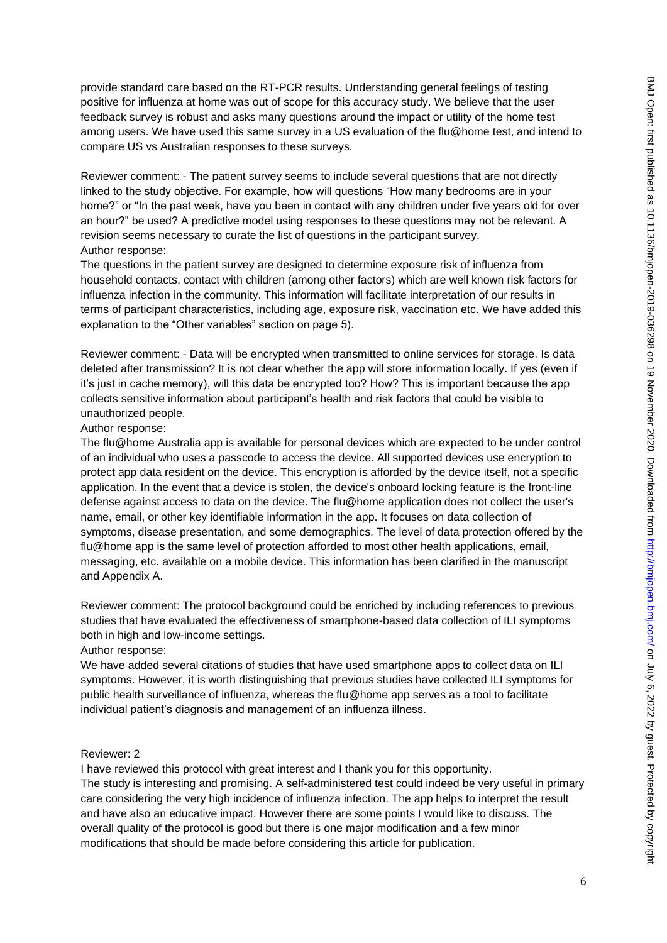provide standard care based on the RT-PCR results. Understanding general feelings of testing positive for influenza at home was out of scope for this accuracy study. We believe that the user feedback survey is robust and asks many questions around the impact or utility of the home test among users. We have used this same survey in a US evaluation of the flu@home test, and intend to compare US vs Australian responses to these surveys.

Reviewer comment: - The patient survey seems to include several questions that are not directly linked to the study objective. For example, how will questions "How many bedrooms are in your home?" or "In the past week, have you been in contact with any children under five years old for over an hour?" be used? A predictive model using responses to these questions may not be relevant. A revision seems necessary to curate the list of questions in the participant survey. Author response:

The questions in the patient survey are designed to determine exposure risk of influenza from household contacts, contact with children (among other factors) which are well known risk factors for influenza infection in the community. This information will facilitate interpretation of our results in terms of participant characteristics, including age, exposure risk, vaccination etc. We have added this explanation to the "Other variables" section on page 5).

Reviewer comment: - Data will be encrypted when transmitted to online services for storage. Is data deleted after transmission? It is not clear whether the app will store information locally. If yes (even if it's just in cache memory), will this data be encrypted too? How? This is important because the app collects sensitive information about participant's health and risk factors that could be visible to unauthorized people.

## Author response:

The flu@home Australia app is available for personal devices which are expected to be under control of an individual who uses a passcode to access the device. All supported devices use encryption to protect app data resident on the device. This encryption is afforded by the device itself, not a specific application. In the event that a device is stolen, the device's onboard locking feature is the front-line defense against access to data on the device. The flu@home application does not collect the user's name, email, or other key identifiable information in the app. It focuses on data collection of symptoms, disease presentation, and some demographics. The level of data protection offered by the flu@home app is the same level of protection afforded to most other health applications, email, messaging, etc. available on a mobile device. This information has been clarified in the manuscript and Appendix A.

Reviewer comment: The protocol background could be enriched by including references to previous studies that have evaluated the effectiveness of smartphone-based data collection of ILI symptoms both in high and low-income settings.

Author response:

We have added several citations of studies that have used smartphone apps to collect data on ILI symptoms. However, it is worth distinguishing that previous studies have collected ILI symptoms for public health surveillance of influenza, whereas the flu@home app serves as a tool to facilitate individual patient's diagnosis and management of an influenza illness.

#### Reviewer: 2

I have reviewed this protocol with great interest and I thank you for this opportunity. The study is interesting and promising. A self-administered test could indeed be very useful in primary care considering the very high incidence of influenza infection. The app helps to interpret the result and have also an educative impact. However there are some points I would like to discuss. The overall quality of the protocol is good but there is one major modification and a few minor modifications that should be made before considering this article for publication.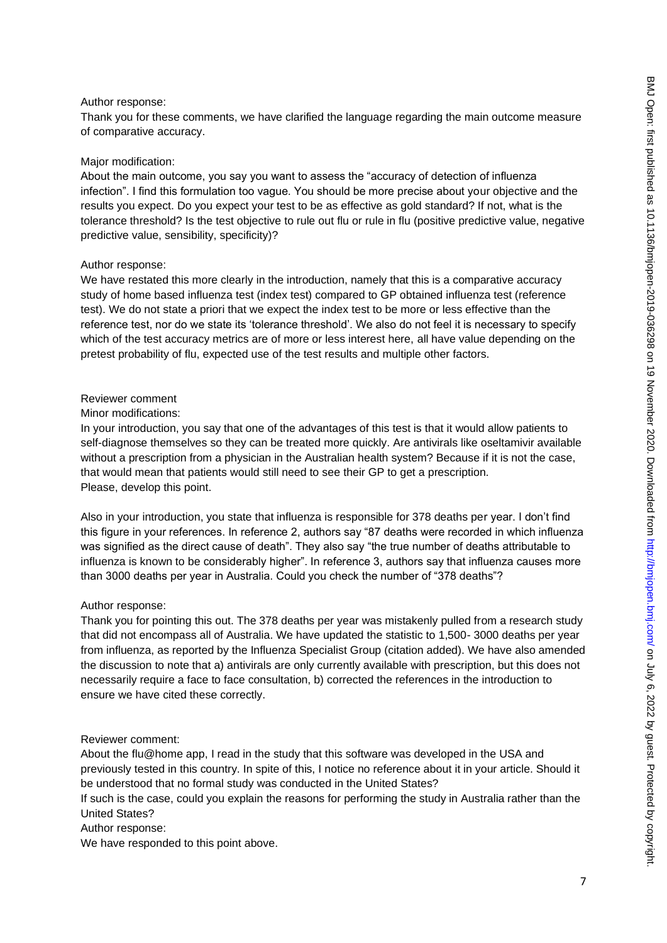### Author response:

Thank you for these comments, we have clarified the language regarding the main outcome measure of comparative accuracy.

#### Major modification:

About the main outcome, you say you want to assess the "accuracy of detection of influenza infection". I find this formulation too vague. You should be more precise about your objective and the results you expect. Do you expect your test to be as effective as gold standard? If not, what is the tolerance threshold? Is the test objective to rule out flu or rule in flu (positive predictive value, negative predictive value, sensibility, specificity)?

#### Author response:

We have restated this more clearly in the introduction, namely that this is a comparative accuracy study of home based influenza test (index test) compared to GP obtained influenza test (reference test). We do not state a priori that we expect the index test to be more or less effective than the reference test, nor do we state its 'tolerance threshold'. We also do not feel it is necessary to specify which of the test accuracy metrics are of more or less interest here, all have value depending on the pretest probability of flu, expected use of the test results and multiple other factors.

### Reviewer comment

### Minor modifications:

In your introduction, you say that one of the advantages of this test is that it would allow patients to self-diagnose themselves so they can be treated more quickly. Are antivirals like oseltamivir available without a prescription from a physician in the Australian health system? Because if it is not the case, that would mean that patients would still need to see their GP to get a prescription. Please, develop this point.

Also in your introduction, you state that influenza is responsible for 378 deaths per year. I don't find this figure in your references. In reference 2, authors say "87 deaths were recorded in which influenza was signified as the direct cause of death". They also say "the true number of deaths attributable to influenza is known to be considerably higher". In reference 3, authors say that influenza causes more than 3000 deaths per year in Australia. Could you check the number of "378 deaths"?

#### Author response:

Thank you for pointing this out. The 378 deaths per year was mistakenly pulled from a research study that did not encompass all of Australia. We have updated the statistic to 1,500- 3000 deaths per year from influenza, as reported by the Influenza Specialist Group (citation added). We have also amended the discussion to note that a) antivirals are only currently available with prescription, but this does not necessarily require a face to face consultation, b) corrected the references in the introduction to ensure we have cited these correctly.

#### Reviewer comment:

About the flu@home app, I read in the study that this software was developed in the USA and previously tested in this country. In spite of this, I notice no reference about it in your article. Should it be understood that no formal study was conducted in the United States?

If such is the case, could you explain the reasons for performing the study in Australia rather than the United States?

Author response:

We have responded to this point above.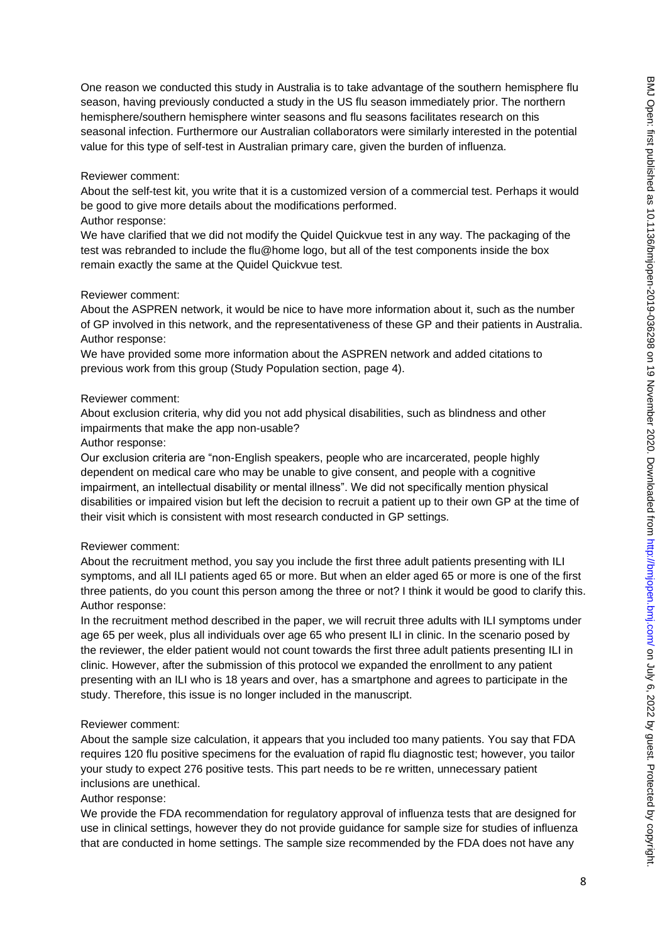One reason we conducted this study in Australia is to take advantage of the southern hemisphere flu season, having previously conducted a study in the US flu season immediately prior. The northern hemisphere/southern hemisphere winter seasons and flu seasons facilitates research on this seasonal infection. Furthermore our Australian collaborators were similarly interested in the potential value for this type of self-test in Australian primary care, given the burden of influenza.

### Reviewer comment:

About the self-test kit, you write that it is a customized version of a commercial test. Perhaps it would be good to give more details about the modifications performed.

### Author response:

We have clarified that we did not modify the Quidel Quickvue test in any way. The packaging of the test was rebranded to include the flu@home logo, but all of the test components inside the box remain exactly the same at the Quidel Quickvue test.

### Reviewer comment:

About the ASPREN network, it would be nice to have more information about it, such as the number of GP involved in this network, and the representativeness of these GP and their patients in Australia. Author response:

We have provided some more information about the ASPREN network and added citations to previous work from this group (Study Population section, page 4).

### Reviewer comment:

About exclusion criteria, why did you not add physical disabilities, such as blindness and other impairments that make the app non-usable?

### Author response:

Our exclusion criteria are "non-English speakers, people who are incarcerated, people highly dependent on medical care who may be unable to give consent, and people with a cognitive impairment, an intellectual disability or mental illness". We did not specifically mention physical disabilities or impaired vision but left the decision to recruit a patient up to their own GP at the time of their visit which is consistent with most research conducted in GP settings.

## Reviewer comment:

About the recruitment method, you say you include the first three adult patients presenting with ILI symptoms, and all ILI patients aged 65 or more. But when an elder aged 65 or more is one of the first three patients, do you count this person among the three or not? I think it would be good to clarify this. Author response:

In the recruitment method described in the paper, we will recruit three adults with ILI symptoms under age 65 per week, plus all individuals over age 65 who present ILI in clinic. In the scenario posed by the reviewer, the elder patient would not count towards the first three adult patients presenting ILI in clinic. However, after the submission of this protocol we expanded the enrollment to any patient presenting with an ILI who is 18 years and over, has a smartphone and agrees to participate in the study. Therefore, this issue is no longer included in the manuscript.

## Reviewer comment:

About the sample size calculation, it appears that you included too many patients. You say that FDA requires 120 flu positive specimens for the evaluation of rapid flu diagnostic test; however, you tailor your study to expect 276 positive tests. This part needs to be re written, unnecessary patient inclusions are unethical.

## Author response:

We provide the FDA recommendation for regulatory approval of influenza tests that are designed for use in clinical settings, however they do not provide guidance for sample size for studies of influenza that are conducted in home settings. The sample size recommended by the FDA does not have any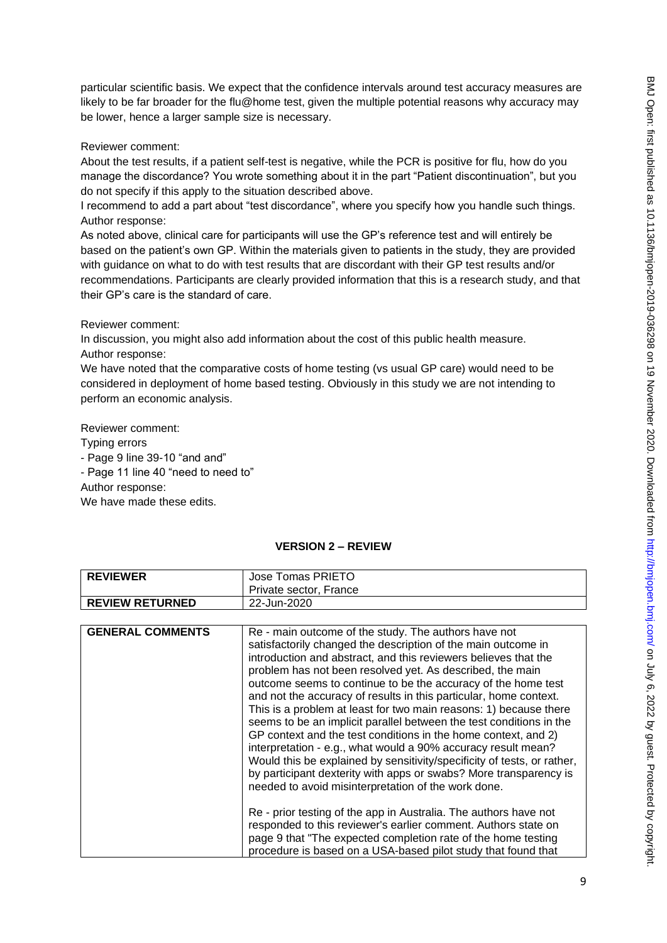particular scientific basis. We expect that the confidence intervals around test accuracy measures are likely to be far broader for the flu@home test, given the multiple potential reasons why accuracy may be lower, hence a larger sample size is necessary.

### Reviewer comment:

About the test results, if a patient self-test is negative, while the PCR is positive for flu, how do you manage the discordance? You wrote something about it in the part "Patient discontinuation", but you do not specify if this apply to the situation described above.

I recommend to add a part about "test discordance", where you specify how you handle such things. Author response:

As noted above, clinical care for participants will use the GP's reference test and will entirely be based on the patient's own GP. Within the materials given to patients in the study, they are provided with guidance on what to do with test results that are discordant with their GP test results and/or recommendations. Participants are clearly provided information that this is a research study, and that their GP's care is the standard of care.

### Reviewer comment:

In discussion, you might also add information about the cost of this public health measure. Author response:

We have noted that the comparative costs of home testing (vs usual GP care) would need to be considered in deployment of home based testing. Obviously in this study we are not intending to perform an economic analysis.

Reviewer comment: Typing errors - Page 9 line 39-10 "and and" - Page 11 line 40 "need to need to" Author response: We have made these edits.

# **VERSION 2 – REVIEW**

| <b>REVIEWER</b>        | Jose Tomas PRIETO<br>Private sector. France |
|------------------------|---------------------------------------------|
| <b>REVIEW RETURNED</b> | 22-Jun-2020                                 |

| <b>GENERAL COMMENTS</b> | Re - main outcome of the study. The authors have not<br>satisfactorily changed the description of the main outcome in<br>introduction and abstract, and this reviewers believes that the<br>problem has not been resolved yet. As described, the main<br>outcome seems to continue to be the accuracy of the home test<br>and not the accuracy of results in this particular, home context.<br>This is a problem at least for two main reasons: 1) because there<br>seems to be an implicit parallel between the test conditions in the<br>GP context and the test conditions in the home context, and 2)<br>interpretation - e.g., what would a 90% accuracy result mean?<br>Would this be explained by sensitivity/specificity of tests, or rather,<br>by participant dexterity with apps or swabs? More transparency is<br>needed to avoid misinterpretation of the work done. |
|-------------------------|-----------------------------------------------------------------------------------------------------------------------------------------------------------------------------------------------------------------------------------------------------------------------------------------------------------------------------------------------------------------------------------------------------------------------------------------------------------------------------------------------------------------------------------------------------------------------------------------------------------------------------------------------------------------------------------------------------------------------------------------------------------------------------------------------------------------------------------------------------------------------------------|
|                         | Re - prior testing of the app in Australia. The authors have not<br>responded to this reviewer's earlier comment. Authors state on<br>page 9 that "The expected completion rate of the home testing                                                                                                                                                                                                                                                                                                                                                                                                                                                                                                                                                                                                                                                                               |
|                         | procedure is based on a USA-based pilot study that found that                                                                                                                                                                                                                                                                                                                                                                                                                                                                                                                                                                                                                                                                                                                                                                                                                     |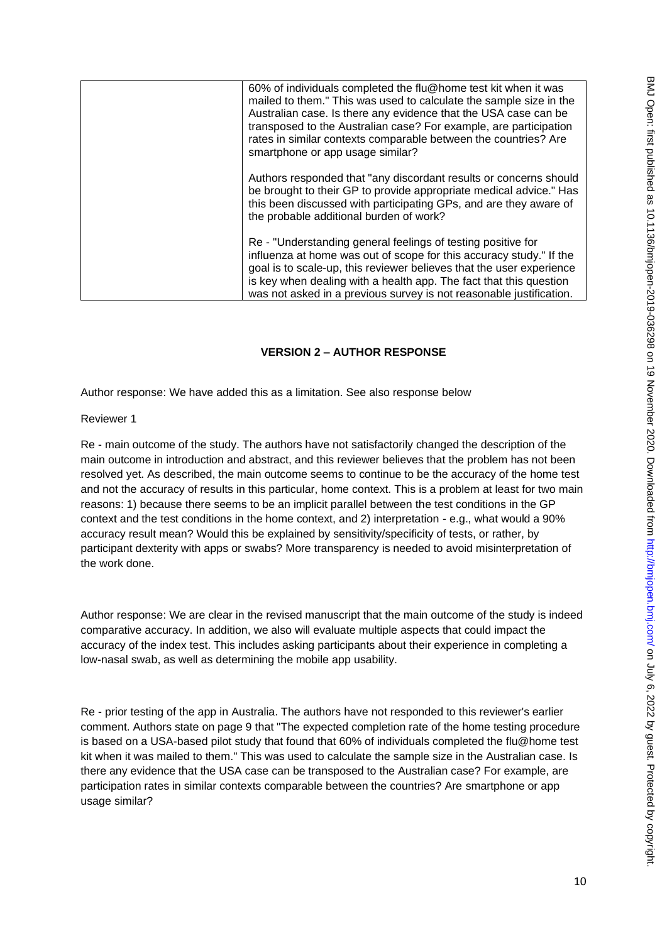| 60% of individuals completed the flu@home test kit when it was<br>mailed to them." This was used to calculate the sample size in the<br>Australian case. Is there any evidence that the USA case can be<br>transposed to the Australian case? For example, are participation<br>rates in similar contexts comparable between the countries? Are<br>smartphone or app usage similar? |
|-------------------------------------------------------------------------------------------------------------------------------------------------------------------------------------------------------------------------------------------------------------------------------------------------------------------------------------------------------------------------------------|
| Authors responded that "any discordant results or concerns should<br>be brought to their GP to provide appropriate medical advice." Has<br>this been discussed with participating GPs, and are they aware of<br>the probable additional burden of work?                                                                                                                             |
| Re - "Understanding general feelings of testing positive for<br>influenza at home was out of scope for this accuracy study." If the<br>goal is to scale-up, this reviewer believes that the user experience<br>is key when dealing with a health app. The fact that this question<br>was not asked in a previous survey is not reasonable justification.                            |

# **VERSION 2 – AUTHOR RESPONSE**

Author response: We have added this as a limitation. See also response below

Reviewer 1

Re - main outcome of the study. The authors have not satisfactorily changed the description of the main outcome in introduction and abstract, and this reviewer believes that the problem has not been resolved yet. As described, the main outcome seems to continue to be the accuracy of the home test and not the accuracy of results in this particular, home context. This is a problem at least for two main reasons: 1) because there seems to be an implicit parallel between the test conditions in the GP context and the test conditions in the home context, and 2) interpretation - e.g., what would a 90% accuracy result mean? Would this be explained by sensitivity/specificity of tests, or rather, by participant dexterity with apps or swabs? More transparency is needed to avoid misinterpretation of the work done.

Author response: We are clear in the revised manuscript that the main outcome of the study is indeed comparative accuracy. In addition, we also will evaluate multiple aspects that could impact the accuracy of the index test. This includes asking participants about their experience in completing a low-nasal swab, as well as determining the mobile app usability.

Re - prior testing of the app in Australia. The authors have not responded to this reviewer's earlier comment. Authors state on page 9 that "The expected completion rate of the home testing procedure is based on a USA-based pilot study that found that 60% of individuals completed the flu@home test kit when it was mailed to them." This was used to calculate the sample size in the Australian case. Is there any evidence that the USA case can be transposed to the Australian case? For example, are participation rates in similar contexts comparable between the countries? Are smartphone or app usage similar?